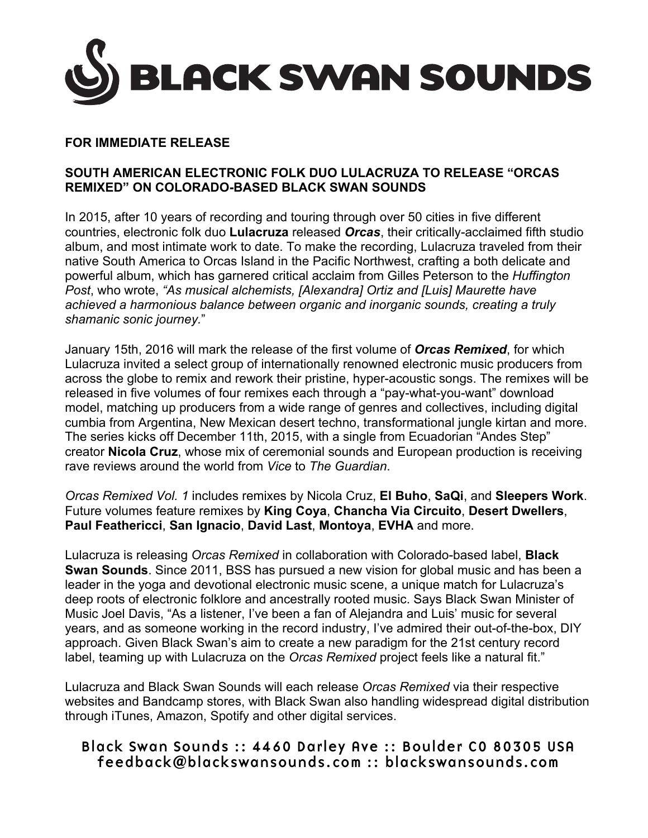

## **FOR IMMEDIATE RELEASE**

## **SOUTH AMERICAN ELECTRONIC FOLK DUO LULACRUZA TO RELEASE "ORCAS REMIXED" ON COLORADO-BASED BLACK SWAN SOUNDS**

In 2015, after 10 years of recording and touring through over 50 cities in five different countries, electronic folk duo **Lulacruza** released *Orcas*, their critically-acclaimed fifth studio album, and most intimate work to date. To make the recording, Lulacruza traveled from their native South America to Orcas Island in the Pacific Northwest, crafting a both delicate and powerful album, which has garnered critical acclaim from Gilles Peterson to the *Huffington Post*, who wrote, *"As musical alchemists, [Alexandra] Ortiz and [Luis] Maurette have achieved a harmonious balance between organic and inorganic sounds, creating a truly shamanic sonic journey.*"

January 15th, 2016 will mark the release of the first volume of *Orcas Remixed*, for which Lulacruza invited a select group of internationally renowned electronic music producers from across the globe to remix and rework their pristine, hyper-acoustic songs. The remixes will be released in five volumes of four remixes each through a "pay-what-you-want" download model, matching up producers from a wide range of genres and collectives, including digital cumbia from Argentina, New Mexican desert techno, transformational jungle kirtan and more. The series kicks off December 11th, 2015, with a single from Ecuadorian "Andes Step" creator **Nicola Cruz**, whose mix of ceremonial sounds and European production is receiving rave reviews around the world from *Vice* to *The Guardian*.

*Orcas Remixed Vol. 1* includes remixes by Nicola Cruz, **El Buho**, **SaQi**, and **Sleepers Work**. Future volumes feature remixes by **King Coya**, **Chancha Via Circuito**, **Desert Dwellers**, **Paul Feathericci**, **San Ignacio**, **David Last**, **Montoya**, **EVHA** and more.

Lulacruza is releasing *Orcas Remixed* in collaboration with Colorado-based label, **Black Swan Sounds**. Since 2011, BSS has pursued a new vision for global music and has been a leader in the yoga and devotional electronic music scene, a unique match for Lulacruza's deep roots of electronic folklore and ancestrally rooted music. Says Black Swan Minister of Music Joel Davis, "As a listener, I've been a fan of Alejandra and Luis' music for several years, and as someone working in the record industry, I've admired their out-of-the-box, DIY approach. Given Black Swan's aim to create a new paradigm for the 21st century record label, teaming up with Lulacruza on the *Orcas Remixed* project feels like a natural fit."

Lulacruza and Black Swan Sounds will each release *Orcas Remixed* via their respective websites and Bandcamp stores, with Black Swan also handling widespread digital distribution through iTunes, Amazon, Spotify and other digital services.

## Black Swan Sounds :: 4460 Darley Ave :: Boulder CO 80305 USA feedback@blackswansounds.com :: blackswansounds.com